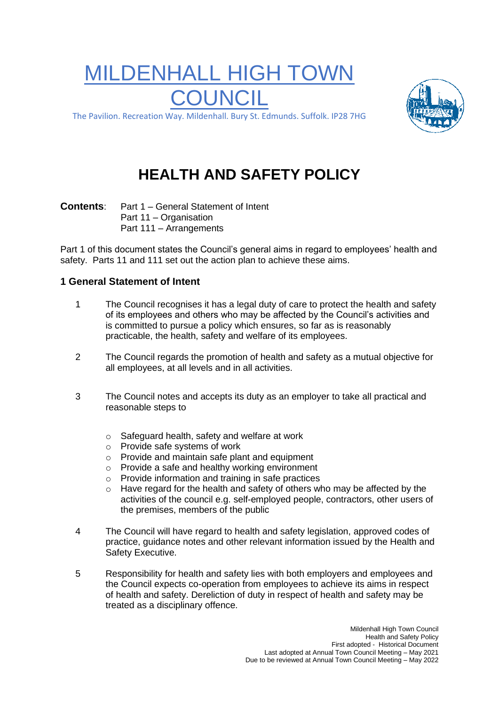# MILDENHALL HIGH TOWN COUNCIL



The Pavilion. Recreation Way. Mildenhall. Bury St. Edmunds. Suffolk. IP28 7HG

# **HEALTH AND SAFETY POLICY**

**Contents**: Part 1 – General Statement of Intent Part 11 – Organisation Part 111 – Arrangements

Part 1 of this document states the Council's general aims in regard to employees' health and safety. Parts 11 and 111 set out the action plan to achieve these aims.

### **1 General Statement of Intent**

- 1 The Council recognises it has a legal duty of care to protect the health and safety of its employees and others who may be affected by the Council's activities and is committed to pursue a policy which ensures, so far as is reasonably practicable, the health, safety and welfare of its employees.
- 2 The Council regards the promotion of health and safety as a mutual objective for all employees, at all levels and in all activities.
- 3 The Council notes and accepts its duty as an employer to take all practical and reasonable steps to
	- o Safeguard health, safety and welfare at work
	- o Provide safe systems of work
	- o Provide and maintain safe plant and equipment
	- o Provide a safe and healthy working environment
	- Provide information and training in safe practices
	- $\circ$  Have regard for the health and safety of others who may be affected by the activities of the council e.g. self-employed people, contractors, other users of the premises, members of the public
- 4 The Council will have regard to health and safety legislation, approved codes of practice, guidance notes and other relevant information issued by the Health and Safety Executive.
- 5 Responsibility for health and safety lies with both employers and employees and the Council expects co-operation from employees to achieve its aims in respect of health and safety. Dereliction of duty in respect of health and safety may be treated as a disciplinary offence.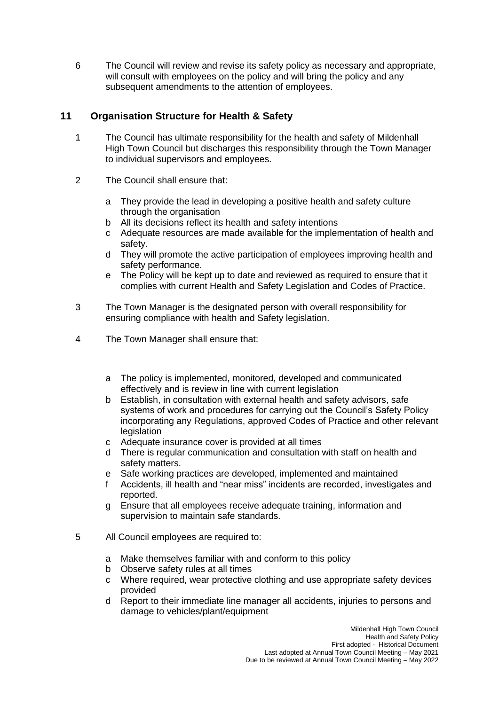6 The Council will review and revise its safety policy as necessary and appropriate, will consult with employees on the policy and will bring the policy and any subsequent amendments to the attention of employees.

## **11 Organisation Structure for Health & Safety**

- 1 The Council has ultimate responsibility for the health and safety of Mildenhall High Town Council but discharges this responsibility through the Town Manager to individual supervisors and employees.
- 2 The Council shall ensure that:
	- a They provide the lead in developing a positive health and safety culture through the organisation
	- b All its decisions reflect its health and safety intentions
	- c Adequate resources are made available for the implementation of health and safety.
	- d They will promote the active participation of employees improving health and safety performance.
	- e The Policy will be kept up to date and reviewed as required to ensure that it complies with current Health and Safety Legislation and Codes of Practice.
- 3 The Town Manager is the designated person with overall responsibility for ensuring compliance with health and Safety legislation.
- 4 The Town Manager shall ensure that:
	- a The policy is implemented, monitored, developed and communicated effectively and is review in line with current legislation
	- b Establish, in consultation with external health and safety advisors, safe systems of work and procedures for carrying out the Council's Safety Policy incorporating any Regulations, approved Codes of Practice and other relevant legislation
	- c Adequate insurance cover is provided at all times
	- d There is regular communication and consultation with staff on health and safety matters.
	- e Safe working practices are developed, implemented and maintained
	- f Accidents, ill health and "near miss" incidents are recorded, investigates and reported.
	- g Ensure that all employees receive adequate training, information and supervision to maintain safe standards.
- 5 All Council employees are required to:
	- a Make themselves familiar with and conform to this policy
	- b Observe safety rules at all times
	- c Where required, wear protective clothing and use appropriate safety devices provided
	- d Report to their immediate line manager all accidents, injuries to persons and damage to vehicles/plant/equipment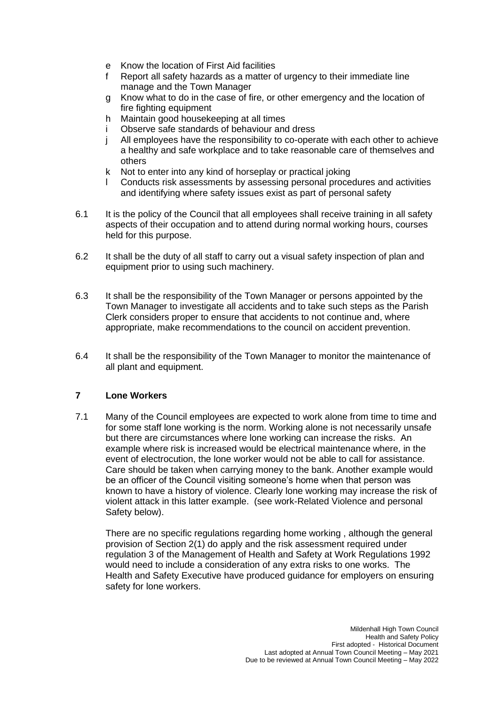- e Know the location of First Aid facilities
- f Report all safety hazards as a matter of urgency to their immediate line manage and the Town Manager
- g Know what to do in the case of fire, or other emergency and the location of fire fighting equipment
- h Maintain good housekeeping at all times
- i Observe safe standards of behaviour and dress
- j All employees have the responsibility to co-operate with each other to achieve a healthy and safe workplace and to take reasonable care of themselves and others
- k Not to enter into any kind of horseplay or practical joking
- l Conducts risk assessments by assessing personal procedures and activities and identifying where safety issues exist as part of personal safety
- 6.1 It is the policy of the Council that all employees shall receive training in all safety aspects of their occupation and to attend during normal working hours, courses held for this purpose.
- 6.2 It shall be the duty of all staff to carry out a visual safety inspection of plan and equipment prior to using such machinery.
- 6.3 It shall be the responsibility of the Town Manager or persons appointed by the Town Manager to investigate all accidents and to take such steps as the Parish Clerk considers proper to ensure that accidents to not continue and, where appropriate, make recommendations to the council on accident prevention.
- 6.4 It shall be the responsibility of the Town Manager to monitor the maintenance of all plant and equipment.

#### **7 Lone Workers**

7.1 Many of the Council employees are expected to work alone from time to time and for some staff lone working is the norm. Working alone is not necessarily unsafe but there are circumstances where lone working can increase the risks. An example where risk is increased would be electrical maintenance where, in the event of electrocution, the lone worker would not be able to call for assistance. Care should be taken when carrying money to the bank. Another example would be an officer of the Council visiting someone's home when that person was known to have a history of violence. Clearly lone working may increase the risk of violent attack in this latter example. (see work-Related Violence and personal Safety below).

There are no specific regulations regarding home working , although the general provision of Section 2(1) do apply and the risk assessment required under regulation 3 of the Management of Health and Safety at Work Regulations 1992 would need to include a consideration of any extra risks to one works. The Health and Safety Executive have produced guidance for employers on ensuring safety for lone workers.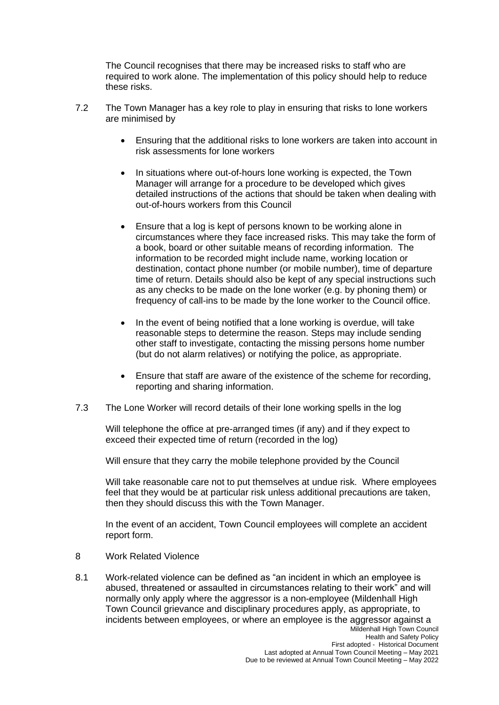The Council recognises that there may be increased risks to staff who are required to work alone. The implementation of this policy should help to reduce these risks.

- 7.2 The Town Manager has a key role to play in ensuring that risks to lone workers are minimised by
	- Ensuring that the additional risks to lone workers are taken into account in risk assessments for lone workers
	- In situations where out-of-hours lone working is expected, the Town Manager will arrange for a procedure to be developed which gives detailed instructions of the actions that should be taken when dealing with out-of-hours workers from this Council
	- Ensure that a log is kept of persons known to be working alone in circumstances where they face increased risks. This may take the form of a book, board or other suitable means of recording information. The information to be recorded might include name, working location or destination, contact phone number (or mobile number), time of departure time of return. Details should also be kept of any special instructions such as any checks to be made on the lone worker (e.g. by phoning them) or frequency of call-ins to be made by the lone worker to the Council office.
	- In the event of being notified that a lone working is overdue, will take reasonable steps to determine the reason. Steps may include sending other staff to investigate, contacting the missing persons home number (but do not alarm relatives) or notifying the police, as appropriate.
	- Ensure that staff are aware of the existence of the scheme for recording, reporting and sharing information.
- 7.3 The Lone Worker will record details of their lone working spells in the log

Will telephone the office at pre-arranged times (if any) and if they expect to exceed their expected time of return (recorded in the log)

Will ensure that they carry the mobile telephone provided by the Council

Will take reasonable care not to put themselves at undue risk. Where employees feel that they would be at particular risk unless additional precautions are taken, then they should discuss this with the Town Manager.

In the event of an accident, Town Council employees will complete an accident report form.

- 8 Work Related Violence
- Mildenhall High Town Council 8.1 Work-related violence can be defined as "an incident in which an employee is abused, threatened or assaulted in circumstances relating to their work" and will normally only apply where the aggressor is a non-employee (Mildenhall High Town Council grievance and disciplinary procedures apply, as appropriate, to incidents between employees, or where an employee is the aggressor against a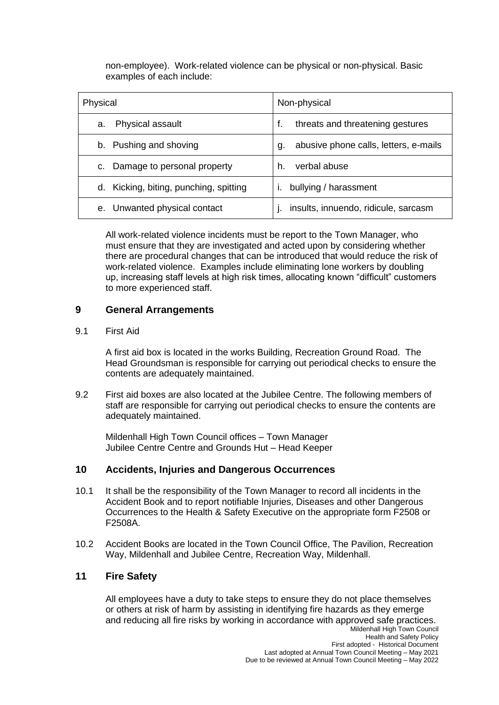non-employee). Work-related violence can be physical or non-physical. Basic examples of each include:

| Physical                               | Non-physical                                |
|----------------------------------------|---------------------------------------------|
| Physical assault<br>a.                 | threats and threatening gestures<br>f.      |
| b. Pushing and shoving                 | abusive phone calls, letters, e-mails<br>g. |
| Damage to personal property<br>C.      | verbal abuse<br>h.                          |
| d. Kicking, biting, punching, spitting | bullying / harassment                       |
| Unwanted physical contact<br>$e_{1}$   | insults, innuendo, ridicule, sarcasm        |

All work-related violence incidents must be report to the Town Manager, who must ensure that they are investigated and acted upon by considering whether there are procedural changes that can be introduced that would reduce the risk of work-related violence. Examples include eliminating lone workers by doubling up, increasing staff levels at high risk times, allocating known "difficult" customers to more experienced staff.

#### **9 General Arrangements**

#### 9.1 First Aid

A first aid box is located in the works Building, Recreation Ground Road. The Head Groundsman is responsible for carrying out periodical checks to ensure the contents are adequately maintained.

9.2 First aid boxes are also located at the Jubilee Centre. The following members of staff are responsible for carrying out periodical checks to ensure the contents are adequately maintained.

Mildenhall High Town Council offices – Town Manager Jubilee Centre Centre and Grounds Hut – Head Keeper

#### **10 Accidents, Injuries and Dangerous Occurrences**

- 10.1 It shall be the responsibility of the Town Manager to record all incidents in the Accident Book and to report notifiable Injuries, Diseases and other Dangerous Occurrences to the Health & Safety Executive on the appropriate form F2508 or F2508A.
- 10.2 Accident Books are located in the Town Council Office, The Pavilion, Recreation Way, Mildenhall and Jubilee Centre, Recreation Way, Mildenhall.

#### **11 Fire Safety**

All employees have a duty to take steps to ensure they do not place themselves or others at risk of harm by assisting in identifying fire hazards as they emerge and reducing all fire risks by working in accordance with approved safe practices.